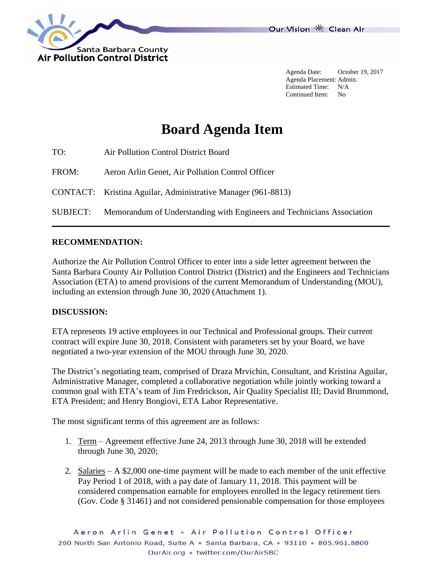

Agenda Date: October 19, 2017 Agenda Placement: Admin. Estimated Time: N/A Continued Item: No

# **Board Agenda Item**

| TO:   | Air Pollution Control District Board                                            |
|-------|---------------------------------------------------------------------------------|
| FROM: | Aeron Arlin Genet, Air Pollution Control Officer                                |
|       | CONTACT: Kristina Aguilar, Administrative Manager (961-8813)                    |
|       | SUBJECT: Memorandum of Understanding with Engineers and Technicians Association |

### **RECOMMENDATION:**

Authorize the Air Pollution Control Officer to enter into a side letter agreement between the Santa Barbara County Air Pollution Control District (District) and the Engineers and Technicians Association (ETA) to amend provisions of the current Memorandum of Understanding (MOU), including an extension through June 30, 2020 (Attachment 1).

### **DISCUSSION:**

ETA represents 19 active employees in our Technical and Professional groups. Their current contract will expire June 30, 2018. Consistent with parameters set by your Board, we have negotiated a two-year extension of the MOU through June 30, 2020.

The District's negotiating team, comprised of Draza Mrvichin, Consultant, and Kristina Aguilar, Administrative Manager, completed a collaborative negotiation while jointly working toward a common goal with ETA's team of Jim Fredrickson, Air Quality Specialist III; David Brummond, ETA President; and Henry Bongiovi, ETA Labor Representative.

The most significant terms of this agreement are as follows:

- 1. Term Agreement effective June 24, 2013 through June 30, 2018 will be extended through June 30, 2020;
- 2. Salaries A \$2,000 one-time payment will be made to each member of the unit effective Pay Period 1 of 2018, with a pay date of January 11, 2018. This payment will be considered compensation earnable for employees enrolled in the legacy retirement tiers (Gov. Code § 31461) and not considered pensionable compensation for those employees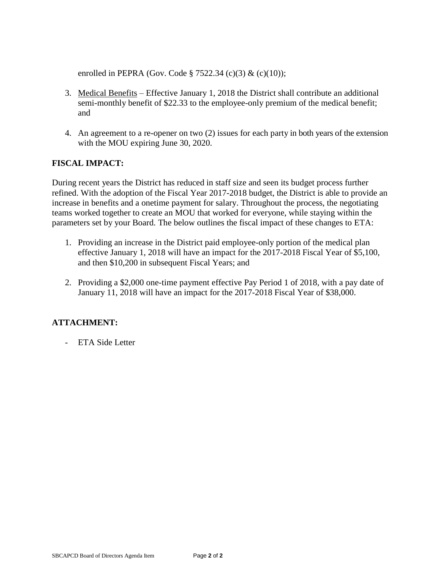enrolled in PEPRA (Gov. Code § 7522.34 (c)(3) & (c)(10));

- 3. Medical Benefits Effective January 1, 2018 the District shall contribute an additional semi-monthly benefit of \$22.33 to the employee-only premium of the medical benefit; and
- 4. An agreement to a re-opener on two (2) issues for each party in both years of the extension with the MOU expiring June 30, 2020.

# **FISCAL IMPACT:**

During recent years the District has reduced in staff size and seen its budget process further refined. With the adoption of the Fiscal Year 2017-2018 budget, the District is able to provide an increase in benefits and a onetime payment for salary. Throughout the process, the negotiating teams worked together to create an MOU that worked for everyone, while staying within the parameters set by your Board. The below outlines the fiscal impact of these changes to ETA:

- 1. Providing an increase in the District paid employee-only portion of the medical plan effective January 1, 2018 will have an impact for the 2017-2018 Fiscal Year of \$5,100, and then \$10,200 in subsequent Fiscal Years; and
- 2. Providing a \$2,000 one-time payment effective Pay Period 1 of 2018, with a pay date of January 11, 2018 will have an impact for the 2017-2018 Fiscal Year of \$38,000.

## **ATTACHMENT:**

- ETA Side Letter